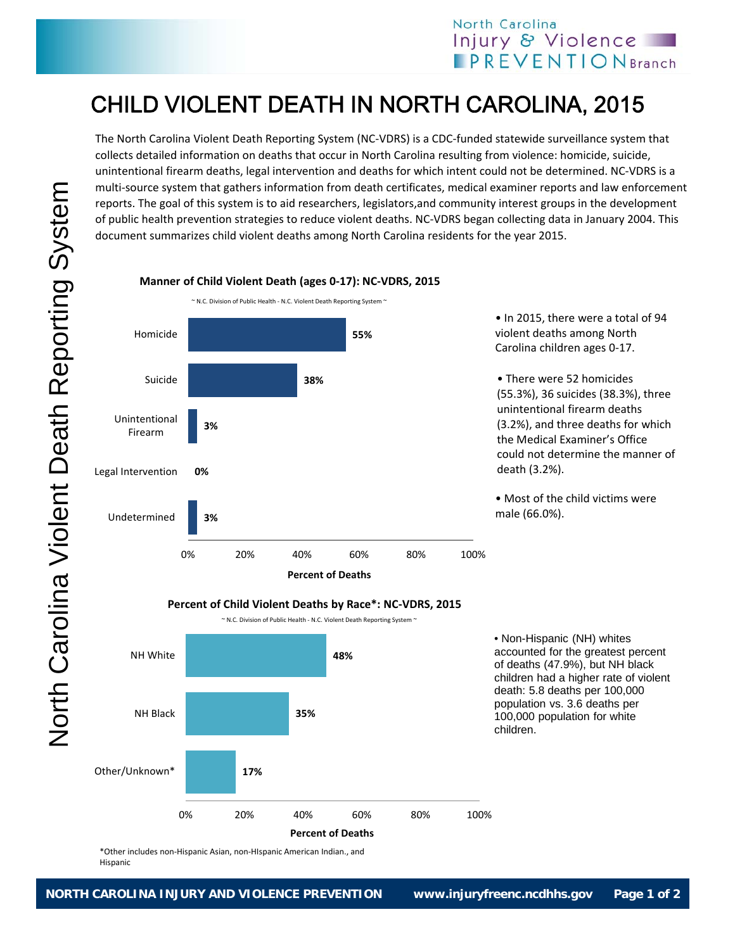## North Carolina Injury & Violence **PREVENTIONBranch**

## CHILD VIOLENT DEATH IN NORTH CAROLINA, 2015

The North Carolina Violent Death Reporting System (NC‐VDRS) is a CDC‐funded statewide surveillance system that collects detailed information on deaths that occur in North Carolina resulting from violence: homicide, suicide, unintentional firearm deaths, legal intervention and deaths for which intent could not be determined. NC‐VDRS is a multi‐source system that gathers information from death certificates, medical examiner reports and law enforcement reports. The goal of this system is to aid researchers, legislators,and community interest groups in the development of public health prevention strategies to reduce violent deaths. NC‐VDRS began collecting data in January 2004. This document summarizes child violent deaths among North Carolina residents for the year 2015.

## **3% 0% 3% 38% 55%** 0% 20% 40% 60% 80% 100% Undetermined Legal Intervention Unintentional Firearm Suicide Homicide **Percent of Deaths** ~ N.C. Division of Public Health ‐ N.C. Violent Death Reporting System ~

**Manner of Child Violent Death (ages 0‐17): NC‐VDRS, 2015**

• In 2015, there were a total of 94 violent deaths among North Carolina children ages 0‐17.

• There were 52 homicides (55.3%), 36 suicides (38.3%), three unintentional firearm deaths (3.2%), and three deaths for which the Medical Examiner's Office could not determine the manner of death (3.2%).

• Most of the child victims were male (66.0%).



~ N.C. Division of Public Health ‐ N.C. Violent Death Reporting System ~



\*Other includes non‐Hispanic Asian, non‐HIspanic American Indian., and Hispanic